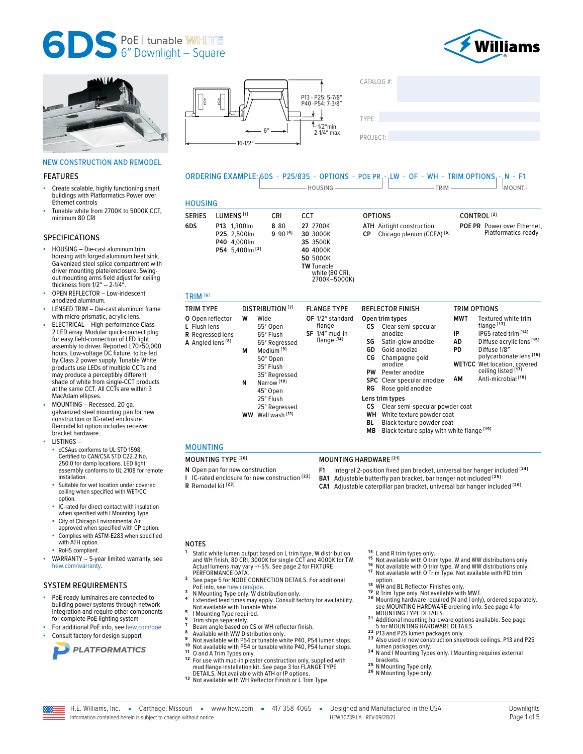



## NEW CONSTRUCTION AND REMODEL

## FEATURES

- Create scalable, highly functioning smart buildings with Platformatics Power over Ethernet controls
- Tunable white from 2700K to 5000K CCT, minimum 80 CRI

## SPECIFICATIONS

- HOUSING Die-cast aluminum trim housing with forged aluminum heat sink. Galvanized steel splice compartment with driver mounting plate/enclosure. Swingout mounting arms field adjust for ceiling thickness from 1/2″ – 2-1/4″.
- OPEN REFLECTOR Low-iridescent anodized aluminum.
- LENSED TRIM Die-cast aluminum frame with micro-prismatic, acrylic lens.
- ELECTRICAL High-performance Class 2 LED array. Modular quick-connect plug for easy field-connection of LED light assembly to driver. Reported L70>50,000 hours. Low-voltage DC fixture, to be fed by Class 2 power supply. Tunable White products use LEDs of multiple CCTs and may produce a perceptibly different shade of white from single-CCT products at the same CCT. All CCTs are within 3 MacAdam ellipses.
- MOUNTING Recessed. 20 ga. galvanized steel mounting pan for new construction or IC-rated enclosure. Remodel kit option includes receiver bracket hardware.
- LISTINGS
	- cCSAus conforms to UL STD 1598; Certified to CAN/CSA STD C22.2 No. 250.0 for damp locations. LED light assembly conforms to UL 2108 for remote installation.
	- Suitable for wet location under covered ceiling when specified with WET/CC option.
	- IC-rated for direct contact with insulation when specified with I Mounting Type.
	- City of Chicago Environmental Air approved when specified with CP option. Complies with ASTM-E283 when specified
	- with ATH option. RoHS compliant.
- WARRANTY 5-year limited warranty, see [hew.com/warranty.](https://www.hew.com/resources/warranty-and-terms)

## SYSTEM REQUIREMENTS

- PoE-ready luminaires are connected to building power systems through network integration and require other components for complete PoE lighting system
- For additional PoE info, see [hew.com/poe](https://www.hew.com/poe) Consult factory for design support
- **PLATFORMATICS**



CATALOG #: ����������������������������������������������

TYPE: ����������������������������������������������������

| ORDERING EXAMPLE: 6DS - P25/835 - OPTIONS - POE PR - LW - OF - WH - TRIM OPTIONS - N - F1<br>$TRIM$ $\longrightarrow$<br>IMOUNT.<br><b>HOUSING</b> |                                                                          |                      |                                                                                     |     |                                                               |                        |                                                    |
|----------------------------------------------------------------------------------------------------------------------------------------------------|--------------------------------------------------------------------------|----------------------|-------------------------------------------------------------------------------------|-----|---------------------------------------------------------------|------------------------|----------------------------------------------------|
| <b>HOUSING</b>                                                                                                                                     |                                                                          |                      |                                                                                     |     |                                                               |                        |                                                    |
| <b>SERIES</b>                                                                                                                                      | LUMENS <sup>[1]</sup>                                                    | CRI                  | <b>CCT</b>                                                                          |     | <b>OPTIONS</b>                                                | CONTROL <sup>[2]</sup> |                                                    |
| 6DS                                                                                                                                                | P13 1.300lm<br>P25 2.500lm<br>P40 4.000lm<br>P54 5.400 lm <sup>[3]</sup> | 8 80<br>$9.90^{[4]}$ | 27 2700K<br>30 3000K<br>35 3500K<br>40 4000K<br>50 5000K<br>$\tau \sim \tau$ $\sim$ | CP. | <b>ATH</b> Airtight construction<br>Chicago plenum (CCEA) [5] |                        | POE PR Power over Ethernet,<br>Platformatics-ready |

**TW** Tunable white (80 CRI, 2700K–5000K)

## TRIM **[6]**

| W      | Wide                                                                                                                                            |                                                                          |                                   |                                                                                                    |                                                                                                               |                                                                                                                                                                                                                                               |
|--------|-------------------------------------------------------------------------------------------------------------------------------------------------|--------------------------------------------------------------------------|-----------------------------------|----------------------------------------------------------------------------------------------------|---------------------------------------------------------------------------------------------------------------|-----------------------------------------------------------------------------------------------------------------------------------------------------------------------------------------------------------------------------------------------|
| М<br>N | 55° Open<br>65° Flush<br>65° Regressed<br>Medium <sup>[9]</sup><br>50° Open<br>35° Flush<br>35° Regressed<br>Narrow <sup>[10]</sup><br>45° Open | OF 1/2" standard<br>flange<br>$SF$ 1/4" mud-in<br>flange <sup>[12]</sup> | CS.<br>SG<br>GD<br>СG<br>PW<br>RG | Open trim types<br>Clear semi-specular<br>anodize<br>Satin-glow anodize<br>Gold anodize<br>anodize | MWT<br>IP<br>AD<br>PD<br>AM                                                                                   | Textured white trim<br>flange <sup>[13]</sup><br>IP65 rated trim [14]<br>Diffuse acrylic lens [15]<br>Diffuse 1/8"<br>polycarbonate lens [16]<br><b>WET/CC</b> Wet location, covered<br>ceiling listed [17]<br>Anti-microbial <sup>[18]</sup> |
|        | 25° Flush<br>25° Regressed                                                                                                                      |                                                                          | CS.<br>WН                         |                                                                                                    |                                                                                                               |                                                                                                                                                                                                                                               |
|        |                                                                                                                                                 | WW Wall wash [11]                                                        |                                   | BL                                                                                                 | Champagne gold<br>Pewter anodize<br><b>SPC</b> Clear specular anodize<br>Rose gold anodize<br>Lens trim types | Clear semi-specular powder coat<br>White texture powder coat<br>Black texture powder coat                                                                                                                                                     |

## MOUNTING

## MOUNTING TYPE **[20]** MOUNTING HARDWARE **[21]**

- **N** Open pan for new construction
- **I** IC-rated enclosure for new construction **[22] R** Remodel kit **[23]**
- **F1** Integral 2-position fixed pan bracket, universal bar hanger included **[24] BA1** Adjustable butterfly pan bracket, bar hanger not included **[25]**
- **CA1** Adjustable caterpillar pan bracket, universal bar hanger included **[26]**

**MB** Black texture splay with white flange **[19]**

## NOTES

- **<sup>1</sup>** Static white lumen output based on L trim type, W distribution and WH finish, 80 CRI, 3000K for single CCT and 4000K for TW. Actual lumens may vary +/-5%. [See page 2 for FIXTURE](#page-1-0)
- [See page 5 for NODE CONNECTION DETAILS.](#page-4-0) For additional<br>PoE info. see hew.com/poe.
- 
- **Poet info, see here, see head in the seem only.** We distribution only.<br> **Extended lead times may apply. Consult factory for availability.**<br> **Mot available with Tunable White.**
- 
- 
- 
- 
- <sup>5</sup><br>
I Mounting Type required.<br>
<sup>6</sup> Trim ships separately.<br>
<sup>7</sup> Beam angle based on CS or WH reflector finish.<br>
<sup>8</sup> Available with WD Distribution only.<br>
<sup>9</sup> Not available with P54 or tunable white P40, P54 lumen stops.<br>
<sup></sup>
- For use with mud-in plaster construction only, supplied with mud flange installation kit. See page 3 for FLANGE TYPE<br>DETAILS. Not available with ATH or IP options.
- [DETAILS.](#page-2-0) Not available with ATH or IP options. **1 3** Not available with WH Reflector Finish or L Trim Type.
- 
- <sup>14</sup> L and R trim types only.<br><sup>15</sup> Not available with O trim type. W and WW distributions only.<br><sup>16</sup> Not available with O trim type. W and WW distributions only.<br><sup>17</sup> Not available with O Trim Type. Not available with PD t
- 
- 
- **18** WH and BL Reflector Finishes only.<br>**19** R Trim Type only. Not available with MWT.
- 
- **EXAMPLE SEE THE SEE AND SEE THE AND SEE AND SEE AND SEE MOUNTING HARDWARE ordering info. [See page 4 for](#page-3-0) MOUNTING TYPE DETAILS.**
- 21 Additional mounting hardware options available. See page<br>5 for MOUNTING HARDWARE DETAILS.
- 
- [5 for MOUNTING HARDWARE DETAILS.](#page-4-1) **2 2** P13 and P25 lumen packages only. **2 3** Also used in new construction sheetrock ceilings. P13 and P25
- lumen packages only.<br>N and I Mounting Types only. I Mounting requires external<br>brackets.
- brackets. **2 5** N Mounting Type only. **2 6** N Mounting Type only.
-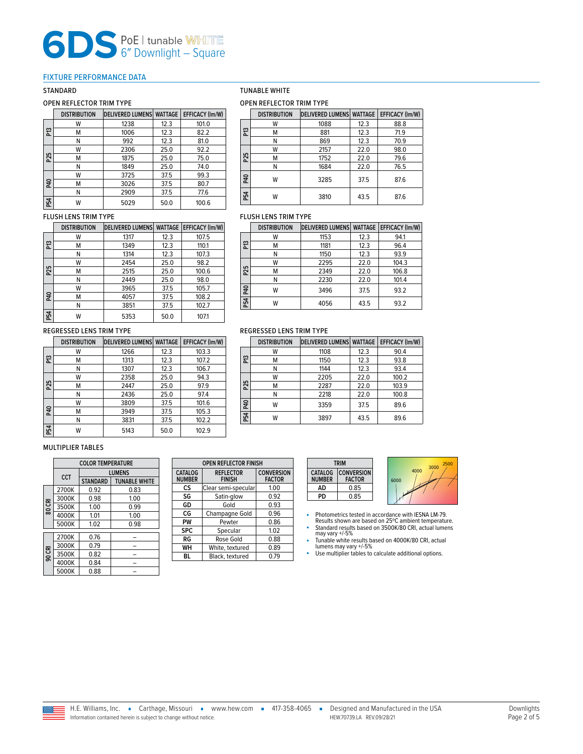## <span id="page-1-0"></span>FIXTURE PERFORMANCE DATA

### OPEN REFLECTOR TRIM TYPE

|                 | <b>DISTRIBUTION</b> | <b>DELIVERED LUMENS WATTAGE</b> |      | EFFICACY (Im/W) |
|-----------------|---------------------|---------------------------------|------|-----------------|
|                 | w                   | 1238                            | 12.3 | 101.0           |
| អូ              | М                   | 1006                            | 12.3 | 82.2            |
|                 | Ν                   | 992                             | 12.3 | 81.0            |
|                 | w                   | 2306                            | 25.0 | 92.2            |
| P <sub>25</sub> | М                   | 1875                            | 25.0 | 75.0            |
|                 | Ν                   | 1849                            | 25.0 | 74.0            |
|                 | w                   | 3725                            | 37.5 | 99.3            |
| <b>DR</b>       | М                   | 3026                            | 37.5 | 80.7            |
|                 | Ν                   | 2909                            | 37.5 | 77.6            |
| P54             | w                   | 5029                            | 50.0 | 100.6           |

## FLUSH LENS TRIM TYPE

|                 | <b>DISTRIBUTION</b> | DELIVERED LUMENS  WATTAGE |      | <b>EFFICACY (Im/W)</b> |
|-----------------|---------------------|---------------------------|------|------------------------|
|                 | W                   | 1317                      | 12.3 | 107.5                  |
| អូ              | М                   | 1349                      | 12.3 | 110.1                  |
|                 | N                   | 1314                      | 12.3 | 107.3                  |
|                 | W                   | 2454                      | 25.0 | 98.2                   |
| P <sub>25</sub> | М                   | 2515                      | 25.0 | 100.6                  |
|                 | N                   | 2449                      | 25.0 | 98.0                   |
|                 | W                   | 3965                      | 37.5 | 105.7                  |
| <b>P40</b>      | м                   | 4057                      | 37.5 | 108.2                  |
|                 | N                   | 3851                      | 37.5 | 102.7                  |
| P54             | W                   | 5353                      | 50.0 | 107.1                  |

### REGRESSED LENS TRIM TYPE

|                 | <b>DISTRIBUTION</b> | <b>DELIVERED LUMENS WATTAGE</b> |      | EFFICACY (Im/W) |
|-----------------|---------------------|---------------------------------|------|-----------------|
|                 | W                   | 1266                            | 12.3 | 103.3           |
| ឌ               | М                   | 1313                            | 12.3 | 107.2           |
|                 | Ν                   | 1307                            | 12.3 | 106.7           |
|                 | W                   | 2358                            | 25.0 | 94.3            |
| P <sub>25</sub> | М                   | 2447                            | 25.0 | 97.9            |
|                 | Ν                   | 2436                            | 25.0 | 97.4            |
|                 | w                   | 3809                            | 37.5 | 101.6           |
| P40             | М                   | 3949                            | 37.5 | 105.3           |
|                 | Ν                   | 3831                            | 37.5 | 102.2           |
| P54             | W                   | 5143                            | 50.0 | 102.9           |

## MULTIPLIER TABLES

|        | <b>COLOR TEMPERATURE</b> |                 |                      |  |  |  |
|--------|--------------------------|-----------------|----------------------|--|--|--|
|        | CCT                      |                 | <b>LUMENS</b>        |  |  |  |
|        |                          | <b>STANDARD</b> | <b>TUNABLE WHITE</b> |  |  |  |
|        | 2700K                    | 0.92            | 0.83                 |  |  |  |
|        | 3000K                    | 0.98            | 1.00                 |  |  |  |
| 80 CRI | 3500K                    | 1.00            | 0.99                 |  |  |  |
|        | 4000K                    | 1.01            | 1.00                 |  |  |  |
|        | 5000K                    | 1.02            | 0.98                 |  |  |  |
|        |                          |                 |                      |  |  |  |
|        | 2700K                    | 0.76            |                      |  |  |  |
|        | 3000K                    | 0.79            |                      |  |  |  |
| 90 CRI | 3500K                    | 0.82            |                      |  |  |  |
|        | 4000K                    | 0.84            |                      |  |  |  |
|        | 5000K                    | 0.88            |                      |  |  |  |

### **OPEN REFLECTOR FINISH CATALOG NUMBER REFLECTOR FINISH CONVERSION FACTOR** <u>Clear semi-specular</u> **SG** Satin-glow 0.92<br> **GD** Gold 0.93 Gold **CG** Champagne Gold 0.96<br>**PW** Pewter 0.86 **PW** Pewter 0.86<br>**SPC** Specular 1.02 Specular **RG** Rose Gold 0.88<br> **WH** White, textured 0.89 **White, textured 0.89**<br>Black textured 0.79 **BL** Black, textured

## STANDARD TUNABLE WHITE

## OPEN REFLECTOR TRIM TYPE

|                 | <b>DISTRIBUTION</b> | DELIVERED LUMENS  WATTAGE |      | EFFICACY (Im/W) |
|-----------------|---------------------|---------------------------|------|-----------------|
|                 | w                   | 1088                      | 12.3 | 88.8            |
| អូ              | м                   | 881                       | 12.3 | 71.9            |
|                 | Ν                   | 869                       | 12.3 | 70.9            |
|                 | w                   | 2157                      | 22.0 | 98.0            |
| P <sub>25</sub> | M                   | 1752                      | 22.0 | 79.6            |
|                 | Ν                   | 1684                      | 22.0 | 76.5            |
| <b>P40</b>      | W                   | 3285                      | 37.5 | 87.6            |
| P54             | W                   | 3810                      | 43.5 | 87.6            |

## FLUSH LENS TRIM TYPE

|                 | <b>DISTRIBUTION</b> | DELIVERED LUMENS WATTAGE |      | <b>EFFICACY (Im/W)</b> |
|-----------------|---------------------|--------------------------|------|------------------------|
|                 | w                   | 1153                     | 12.3 | 94.1                   |
| ឌ               | М                   | 1181                     | 12.3 | 96.4                   |
|                 | N                   | 1150                     | 12.3 | 93.9                   |
|                 | w                   | 2295                     | 22.0 | 104.3                  |
| P25             | М                   | 2349                     | 22.0 | 106.8                  |
|                 | Ν                   | 2230                     | 22.0 | 101.4                  |
| P40             | W                   | 3496                     | 37.5 | 93.2                   |
| $\overline{54}$ | w                   | 4056                     | 43.5 | 93.2                   |

## REGRESSED LENS TRIM TYPE

|                 | <b>DISTRIBUTION</b> | <b>DELIVERED LUMENS WATTAGE</b> |      | <b>EFFICACY (Im/W)</b> |
|-----------------|---------------------|---------------------------------|------|------------------------|
|                 | W                   | 1108                            | 12.3 | 90.4                   |
| ឌ               | м                   | 1150                            | 12.3 | 93.8                   |
|                 | Ν                   | 1144                            | 12.3 | 93.4                   |
|                 | W                   | 2205                            | 22.0 | 100.2                  |
| P <sub>25</sub> | м                   | 2287                            | 22.0 | 103.9                  |
|                 | Ν                   | 2218                            | 22.0 | 100.8                  |
| P40             | W                   | 3359                            | 37.5 | 89.6                   |
| P54             | W                   | 3897                            | 43.5 | 89.6                   |





■ Photometrics tested in accordance with IESNA LM-79. Results shown are based on 25ºC ambient temperature.

■ Standard results based on 3500K/80 CRI, actual lumens may vary +/-5% ■ Tunable white results based on 4000K/80 CRI, actual lumens may vary +/-5%

■ Use multiplier tables to calculate additional options.

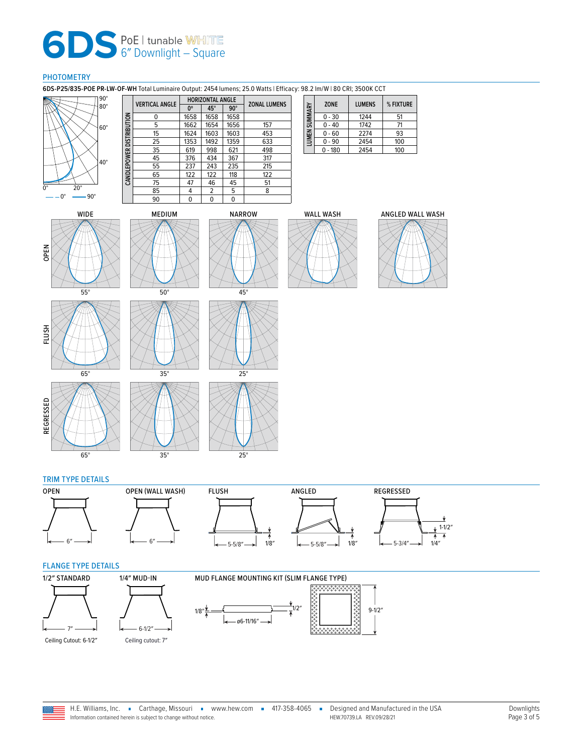**CANDLEPOWER DISTRIBUTION**

CANDLEPOWER DISTRIBUTION

## PHOTOMETRY

**6DS-P25/835-POE PR-LW-OF-WH** Total Luminaire Output: 2454 lumens; 25.0 Watts | Efficacy: 98.2 lm/W | 80 CRI; 3500K CCT



| <b>VERTICAL ANGLE</b> |             | <b>HORIZONTAL ANGLE</b> | <b>ZONAL LUMENS</b> |     |
|-----------------------|-------------|-------------------------|---------------------|-----|
|                       | $0^{\circ}$ | $45^\circ$              | $90^\circ$          |     |
| 0                     | 1658        | 1658                    | 1658                |     |
| 5                     | 1662        | 1654                    | 1656                | 157 |
| 15                    | 1624        | 1603                    | 1603                | 453 |
| 25                    | 1353        | 1492                    | 1359                | 633 |
| 35                    | 619         | 998                     | 621                 | 498 |
| 45                    | 376         | 434                     | 367                 | 317 |
| 55                    | 237         | 243                     | 235                 | 215 |
| 65                    | 122         | 122                     | 118                 | 122 |
| 75                    | 47          | 46                      | 45                  | 51  |
| 85                    | 4           | 2                       | 5                   | 8   |
| 90                    | ი           | 0                       | 0                   |     |

| 9. Z 1111/11/1 UU CI\I. JJUUN CC 1 |             |               |           |  |  |  |
|------------------------------------|-------------|---------------|-----------|--|--|--|
| LUMEN SUMMARY                      | <b>ZONE</b> | <b>LUMENS</b> | % FIXTURE |  |  |  |
|                                    | $0 - 30$    | 1244          | 51        |  |  |  |
|                                    | $0 - 40$    | 1742          | 71        |  |  |  |
|                                    | $0 - 60$    | 2274          | 93        |  |  |  |
|                                    | $0 - 90$    | 2454          | 100       |  |  |  |
|                                    | $0 - 180$   | 2454          | 100       |  |  |  |



OPEN

FLUSH





























## <span id="page-2-0"></span>FLANGE TYPE DETAILS











H.E. Williams, Inc. · Carthage, Missouri · www.hew.com · 417-358-4065 · Designed and Manufactured in the USA Information contained herein is subject to change without notice.

HEW.70739.LA REV.09/28/21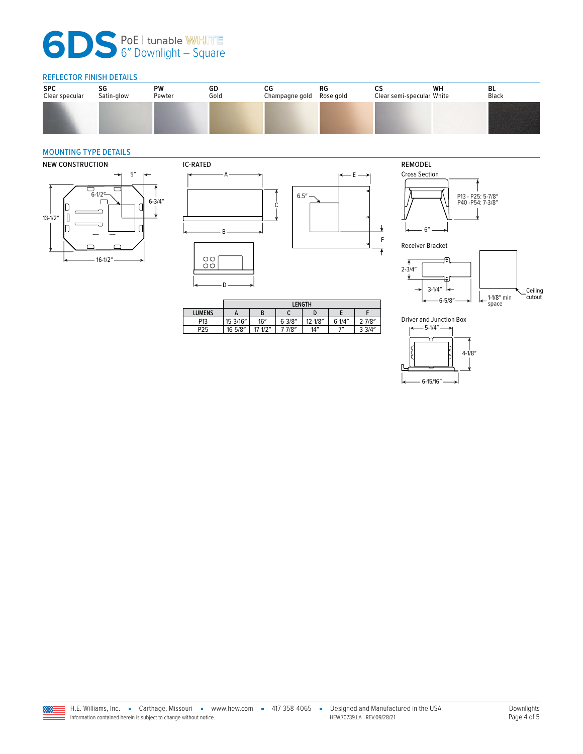## REFLECTOR FINISH DETAILS



E

## <span id="page-3-0"></span>MOUNTING TYPE DETAILS









F

 $\overline{1}$ 

 $\downarrow$ 



|               | <b>LENGTH</b> |             |            |             |           |             |  |
|---------------|---------------|-------------|------------|-------------|-----------|-------------|--|
| <b>LUMENS</b> |               | B           | v          |             |           |             |  |
| P13           | 15-3/16"      | 16''        | $6 - 3/8"$ | $12 - 1/8"$ | $6-1/4''$ | $2 - 7/8''$ |  |
| P25           | $16 - 5/8"$   | $17 - 1/2"$ | 7-7/8″     | 14''        | ייד       | $3 - 3/4"$  |  |
|               |               |             |            |             |           |             |  |